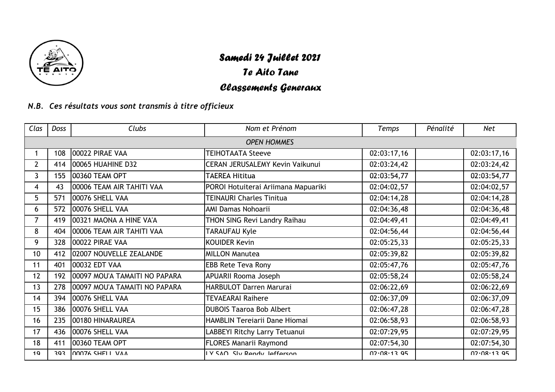

## Samedi 24 Juillet 2021

## Te Aito Tane

## Classements Generaux

*N.B.Ces résultats vous sont transmis à titre officieux*

| Clas           | Doss               | Clubs                         | Nom et Prénom                       | Temps       | Pénalité | <b>Net</b>  |  |  |
|----------------|--------------------|-------------------------------|-------------------------------------|-------------|----------|-------------|--|--|
|                | <b>OPEN HOMMES</b> |                               |                                     |             |          |             |  |  |
|                | 108                | 00022 PIRAE VAA               | <b>TEIHOTAATA Steeve</b>            | 02:03:17,16 |          | 02:03:17,16 |  |  |
| 2 <sup>1</sup> | 414                | 00065 HUAHINE D32             | CERAN JERUSALEMY Kevin Vaikunui     | 02:03:24,42 |          | 02:03:24,42 |  |  |
| $\overline{3}$ | 155                | 00360 TEAM OPT                | <b>TAEREA Hititua</b>               | 02:03:54,77 |          | 02:03:54,77 |  |  |
| 4              | 43                 | 00006 TEAM AIR TAHITI VAA     | POROI Hotuiterai Ariimana Mapuariki | 02:04:02,57 |          | 02:04:02,57 |  |  |
| 5              | 571                | 00076 SHELL VAA               | <b>TEINAURI Charles Tinitua</b>     | 02:04:14,28 |          | 02:04:14,28 |  |  |
| 6              | 572                | 00076 SHELL VAA               | AMI Damas Nohoarii                  | 02:04:36,48 |          | 02:04:36,48 |  |  |
| $\overline{7}$ | 419                | 00321 MAONA A HINE VA'A       | THON SING Revi Landry Raihau        | 02:04:49,41 |          | 02:04:49,41 |  |  |
| 8              | 404                | 00006 TEAM AIR TAHITI VAA     | <b>TARAUFAU Kyle</b>                | 02:04:56,44 |          | 02:04:56,44 |  |  |
| 9              | 328                | 00022 PIRAE VAA               | <b>KOUIDER Kevin</b>                | 02:05:25,33 |          | 02:05:25,33 |  |  |
| 10             | 412                | 02007 NOUVELLE ZEALANDE       | <b>MILLON Manutea</b>               | 02:05:39,82 |          | 02:05:39,82 |  |  |
| 11             | 401                | 00032 EDT VAA                 | <b>EBB Rete Teva Rony</b>           | 02:05:47,76 |          | 02:05:47,76 |  |  |
| 12             | 192                | 00097 MOU'A TAMAITI NO PAPARA | APUARII Rooma Joseph                | 02:05:58,24 |          | 02:05:58,24 |  |  |
| 13             | 278                | 00097 MOU'A TAMAITI NO PAPARA | <b>HARBULOT Darren Marurai</b>      | 02:06:22,69 |          | 02:06:22,69 |  |  |
| 14             | 394                | 00076 SHELL VAA               | <b>TEVAEARAI Raihere</b>            | 02:06:37,09 |          | 02:06:37,09 |  |  |
| 15             | 386                | 00076 SHELL VAA               | <b>DUBOIS Taaroa Bob Albert</b>     | 02:06:47,28 |          | 02:06:47,28 |  |  |
| 16             | 235                | 00180 HINARAUREA              | HAMBLIN Tereiarii Dane Hiomai       | 02:06:58,93 |          | 02:06:58,93 |  |  |
| 17             | 436                | 00076 SHELL VAA               | LABBEYI Ritchy Larry Tetuanui       | 02:07:29,95 |          | 02:07:29,95 |  |  |
| 18             | 411                | 00360 TEAM OPT                | <b>FLORES Manarii Raymond</b>       | 02:07:54,30 |          | 02:07:54,30 |  |  |
| 19             | 303                | 00076 SHELL VAA               | IY SAN Sly Randy laffarson          | 07.08.1395  |          | 07.08.1395  |  |  |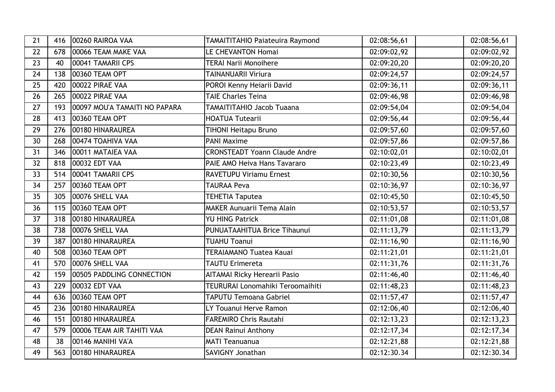| 21 | 416 | 00260 RAIROA VAA              | <b>TAMAITITAHIO Paiateuira Raymond</b> | 02:08:56,61 | 02:08:56,61              |
|----|-----|-------------------------------|----------------------------------------|-------------|--------------------------|
| 22 | 678 | 00066 TEAM MAKE VAA           | LE CHEVANTON Homai                     | 02:09:02,92 | 02:09:02,92              |
| 23 | 40  | 00041 TAMARII CPS             | <b>TERAI Narii Monoihere</b>           | 02:09:20,20 | 02:09:20,20              |
| 24 | 138 | 00360 TEAM OPT                | <b>TAINANUARII Viriura</b>             | 02:09:24,57 | $\overline{02:09:24,57}$ |
| 25 | 420 | 00022 PIRAE VAA               | POROI Kenny Heiarii David              | 02:09:36,11 | 02:09:36,11              |
| 26 | 265 | 00022 PIRAE VAA               | <b>TAIE Charles Teina</b>              | 02:09:46,98 | 02:09:46,98              |
| 27 | 193 | 00097 MOU'A TAMAITI NO PAPARA | <b>TAMAITITAHIO Jacob Tuaana</b>       | 02:09:54,04 | 02:09:54,04              |
| 28 | 413 | 00360 TEAM OPT                | <b>HOATUA Tutearii</b>                 | 02:09:56,44 | 02:09:56,44              |
| 29 | 276 | 00180 HINARAUREA              | <b>TIHONI Heitapu Bruno</b>            | 02:09:57,60 | 02:09:57,60              |
| 30 | 268 | 00474 TOAHIVA VAA             | <b>PANI Maxime</b>                     | 02:09:57,86 | 02:09:57,86              |
| 31 | 346 | 00011 MATAIEA VAA             | <b>CRONSTEADT Yoann Claude Andre</b>   | 02:10:02,01 | 02:10:02,01              |
| 32 | 818 | 00032 EDT VAA                 | PAIE AMO Heiva Hans Tavararo           | 02:10:23,49 | 02:10:23,49              |
| 33 | 514 | 00041 TAMARII CPS             | <b>RAVETUPU Viriamu Ernest</b>         | 02:10:30,56 | 02:10:30,56              |
| 34 | 257 | 00360 TEAM OPT                | <b>TAURAA Peva</b>                     | 02:10:36,97 | 02:10:36,97              |
| 35 | 305 | 00076 SHELL VAA               | <b>TEHETIA Taputea</b>                 | 02:10:45,50 | 02:10:45,50              |
| 36 | 115 | 00360 TEAM OPT                | <b>MAKER Aunuarii Tema Alain</b>       | 02:10:53,57 | 02:10:53,57              |
| 37 | 318 | 00180 HINARAUREA              | <b>YU HING Patrick</b>                 | 02:11:01,08 | 02:11:01,08              |
| 38 | 738 | 00076 SHELL VAA               | PUNUATAAHITUA Brice Tihaunui           | 02:11:13,79 | 02:11:13,79              |
| 39 | 387 | 00180 HINARAUREA              | <b>TUAHU Toanui</b>                    | 02:11:16,90 | 02:11:16,90              |
| 40 | 508 | 00360 TEAM OPT                | <b>TERAIAMANO Tuatea Kauai</b>         | 02:11:21,01 | 02:11:21,01              |
| 41 | 570 | 00076 SHELL VAA               | <b>TAUTU Erimereta</b>                 | 02:11:31,76 | 02:11:31,76              |
| 42 | 159 | 00505 PADDLING CONNECTION     | <b>AITAMAI Ricky Herearii Pasio</b>    | 02:11:46,40 | 02:11:46,40              |
| 43 | 229 | 00032 EDT VAA                 | TEURURAI Lonomahiki Teroomaihiti       | 02:11:48,23 | 02:11:48,23              |
| 44 | 636 | 00360 TEAM OPT                | <b>TAPUTU Temoana Gabriel</b>          | 02:11:57,47 | 02:11:57,47              |
| 45 | 236 | 00180 HINARAUREA              | LY Touanui Herve Ramon                 | 02:12:06,40 | 02:12:06,40              |
| 46 | 151 | 00180 HINARAUREA              | <b>FAREMIRO Chris Rautahi</b>          | 02:12:13,23 | 02:12:13,23              |
| 47 | 579 | 00006 TEAM AIR TAHITI VAA     | <b>DEAN Rainui Anthony</b>             | 02:12:17,34 | 02:12:17,34              |
| 48 | 38  | 00146 MANIHI VA'A             | <b>MATI Teanuanua</b>                  | 02:12:21,88 | 02:12:21,88              |
| 49 | 563 | 00180 HINARAUREA              | <b>SAVIGNY Jonathan</b>                | 02:12:30.34 | 02:12:30.34              |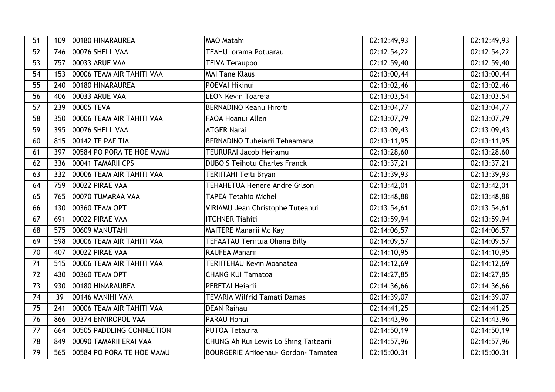| 51 | 109 | 00180 HINARAUREA          | MAO Matahi                                  | 02:12:49,93 | 02:12:49,93 |
|----|-----|---------------------------|---------------------------------------------|-------------|-------------|
| 52 | 746 | 00076 SHELL VAA           | <b>TEAHU lorama Potuarau</b>                | 02:12:54,22 | 02:12:54,22 |
| 53 | 757 | 00033 ARUE VAA            | <b>TEIVA Teraupoo</b>                       | 02:12:59,40 | 02:12:59,40 |
| 54 | 153 | 00006 TEAM AIR TAHITI VAA | <b>MAI Tane Klaus</b>                       | 02:13:00,44 | 02:13:00,44 |
| 55 | 240 | 00180 HINARAUREA          | POEVAI Hikinui                              | 02:13:02,46 | 02:13:02,46 |
| 56 | 406 | 00033 ARUE VAA            | <b>LEON Kevin Toareia</b>                   | 02:13:03,54 | 02:13:03,54 |
| 57 | 239 | 00005 TEVA                | <b>BERNADINO Keanu Hiroiti</b>              | 02:13:04,77 | 02:13:04,77 |
| 58 | 350 | 00006 TEAM AIR TAHITI VAA | <b>FAOA Hoanui Allen</b>                    | 02:13:07,79 | 02:13:07,79 |
| 59 | 395 | 00076 SHELL VAA           | <b>ATGER Narai</b>                          | 02:13:09,43 | 02:13:09,43 |
| 60 | 815 | 00142 TE PAE TIA          | <b>BERNADINO Tuheiarii Tehaamana</b>        | 02:13:11,95 | 02:13:11,95 |
| 61 | 397 | 00584 PO PORA TE HOE MAMU | <b>TEURURAI Jacob Heiramu</b>               | 02:13:28,60 | 02:13:28,60 |
| 62 | 336 | 00041 TAMARII CPS         | <b>DUBOIS Teihotu Charles Franck</b>        | 02:13:37,21 | 02:13:37,21 |
| 63 | 332 | 00006 TEAM AIR TAHITI VAA | TERIITAHI Teiti Bryan                       | 02:13:39,93 | 02:13:39,93 |
| 64 | 759 | 00022 PIRAE VAA           | TEHAHETUA Henere Andre Gilson               | 02:13:42,01 | 02:13:42,01 |
| 65 | 765 | 00070 TUMARAA VAA         | <b>TAPEA Tetahio Michel</b>                 | 02:13:48,88 | 02:13:48,88 |
| 66 | 130 | 00360 TEAM OPT            | VIRIAMU Jean Christophe Tuteanui            | 02:13:54,61 | 02:13:54,61 |
| 67 | 691 | 00022 PIRAE VAA           | <b>ITCHNER Tiahiti</b>                      | 02:13:59,94 | 02:13:59,94 |
| 68 | 575 | 00609 MANUTAHI            | <b>MAITERE Manarii Mc Kay</b>               | 02:14:06,57 | 02:14:06,57 |
| 69 | 598 | 00006 TEAM AIR TAHITI VAA | <b>TEFAATAU Teriitua Ohana Billy</b>        | 02:14:09,57 | 02:14:09,57 |
| 70 | 407 | 00022 PIRAE VAA           | RAUFEA Manarii                              | 02:14:10,95 | 02:14:10,95 |
| 71 | 515 | 00006 TEAM AIR TAHITI VAA | <b>TERIITEHAU Kevin Moanatea</b>            | 02:14:12,69 | 02:14:12,69 |
| 72 | 430 | 00360 TEAM OPT            | <b>CHANG KUI Tamatoa</b>                    | 02:14:27,85 | 02:14:27,85 |
| 73 | 930 | 00180 HINARAUREA          | PERETAI Heiarii                             | 02:14:36,66 | 02:14:36,66 |
| 74 | 39  | 00146 MANIHI VA'A         | TEVARIA Wilfrid Tamati Damas                | 02:14:39,07 | 02:14:39,07 |
| 75 | 241 | 00006 TEAM AIR TAHITI VAA | <b>DEAN Raihau</b>                          | 02:14:41,25 | 02:14:41,25 |
| 76 | 866 | 00374 ENVIROPOL VAA       | <b>PARAU Honui</b>                          | 02:14:43,96 | 02:14:43,96 |
| 77 | 664 | 00505 PADDLING CONNECTION | <b>PUTOA Tetauira</b>                       | 02:14:50,19 | 02:14:50,19 |
| 78 | 849 | 00090 TAMARII ERAI VAA    | CHUNG Ah Kui Lewis Lo Shing Taitearii       | 02:14:57,96 | 02:14:57,96 |
| 79 | 565 | 00584 PO PORA TE HOE MAMU | <b>BOURGERIE Arijoehau- Gordon- Tamatea</b> | 02:15:00.31 | 02:15:00.31 |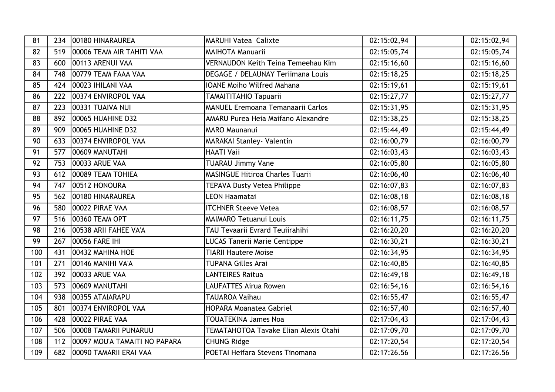| 81  | 234 | 00180 HINARAUREA              | <b>MARUHI Vatea Calixte</b>               | 02:15:02,94 | 02:15:02,94               |
|-----|-----|-------------------------------|-------------------------------------------|-------------|---------------------------|
| 82  | 519 | 00006 TEAM AIR TAHITI VAA     | <b>MAIHOTA Manuarii</b>                   | 02:15:05,74 | 02:15:05,74               |
| 83  | 600 | 00113 ARENUI VAA              | <b>VERNAUDON Keith Teina Temeehau Kim</b> | 02:15:16,60 | 02:15:16,60               |
| 84  | 748 | 00779 TEAM FAAA VAA           | <b>DEGAGE / DELAUNAY Teriimana Louis</b>  | 02:15:18,25 | 02:15:18,25               |
| 85  | 424 | 00023 IHILANI VAA             | <b>IOANE Moiho Wilfred Mahana</b>         | 02:15:19,61 | 02:15:19,61               |
| 86  | 222 | 00374 ENVIROPOL VAA           | <b>TAMAITITAHIO Tapuarii</b>              | 02:15:27,77 | 02:15:27,77               |
| 87  | 223 | 00331 TUAIVA NUI              | <b>MANUEL Eremoana Temanaarii Carlos</b>  | 02:15:31,95 | 02:15:31,95               |
| 88  | 892 | 00065 HUAHINE D32             | AMARU Purea Heia Maifano Alexandre        | 02:15:38,25 | 02:15:38,25               |
| 89  | 909 | 00065 HUAHINE D32             | <b>MARO Maunanui</b>                      | 02:15:44,49 | 02:15:44,49               |
| 90  | 633 | 00374 ENVIROPOL VAA           | MARAKAI Stanley- Valentin                 | 02:16:00,79 | 02:16:00,79               |
| 91  | 577 | 00609 MANUTAHI                | <b>HAATI Vaii</b>                         | 02:16:03,43 | 02:16:03,43               |
| 92  | 753 | 00033 ARUE VAA                | <b>TUARAU Jimmy Vane</b>                  | 02:16:05,80 | 02:16:05,80               |
| 93  | 612 | 00089 TEAM TOHIEA             | <b>MASINGUE Hitiroa Charles Tuarii</b>    | 02:16:06,40 | 02:16:06,40               |
| 94  | 747 | 00512 HONOURA                 | <b>TEPAVA Dusty Vetea Philippe</b>        | 02:16:07,83 | 02:16:07,83               |
| 95  | 562 | 00180 HINARAUREA              | <b>LEON Haamatai</b>                      | 02:16:08,18 | 02:16:08,18               |
| 96  | 580 | 00022 PIRAE VAA               | <b>ITCHNER Steeve Vetea</b>               | 02:16:08,57 | 02:16:08,57               |
| 97  | 516 | 00360 TEAM OPT                | <b>MAIMARO Tetuanui Louis</b>             | 02:16:11,75 | 02:16:11,75               |
| 98  | 216 | 00538 ARII FAHEE VA'A         | TAU Tevaarii Evrard Teuiirahihi           | 02:16:20,20 | 02:16:20,20               |
| 99  | 267 | 00056 FARE IHI                | <b>LUCAS Tanerii Marie Centippe</b>       | 02:16:30,21 | 02:16:30,21               |
| 100 | 431 | 00432 MAHINA HOE              | <b>TIARII Hautere Moise</b>               | 02:16:34,95 | 02:16:34,95               |
| 101 | 271 | 00146 MANIHI VA'A             | <b>TUPANA Gilles Arai</b>                 | 02:16:40,85 | $\overline{0}$ 2:16:40,85 |
| 102 | 392 | 00033 ARUE VAA                | <b>LANTEIRES Raitua</b>                   | 02:16:49,18 | 02:16:49,18               |
| 103 | 573 | 00609 MANUTAHI                | LAUFATTES Airua Rowen                     | 02:16:54,16 | 02:16:54,16               |
| 104 | 938 | 00355 ATAIARAPU               | <b>TAUAROA Vaihau</b>                     | 02:16:55,47 | 02:16:55,47               |
| 105 | 801 | 00374 ENVIROPOL VAA           | <b>HOPARA Moanatea Gabriel</b>            | 02:16:57,40 | 02:16:57,40               |
| 106 | 428 | 00022 PIRAE VAA               | <b>TOUATEKINA James Noa</b>               | 02:17:04,43 | 02:17:04,43               |
| 107 | 506 | 00008 TAMARII PUNARUU         | TEMATAHOTOA Tavake Elian Alexis Otahi     | 02:17:09,70 | 02:17:09,70               |
| 108 | 112 | 00097 MOU'A TAMAITI NO PAPARA | <b>CHUNG Ridge</b>                        | 02:17:20,54 | 02:17:20,54               |
| 109 | 682 | 00090 TAMARII ERAI VAA        | POETAI Heifara Stevens Tinomana           | 02:17:26.56 | 02:17:26.56               |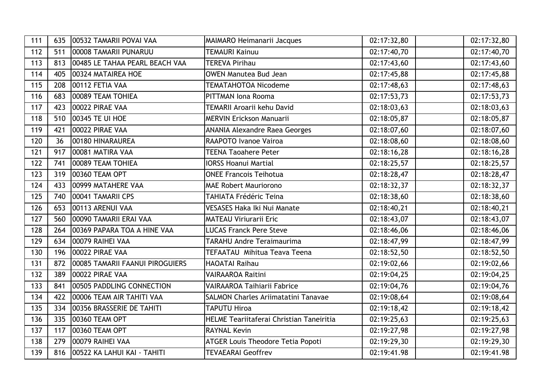| 111 | 635 | 00532 TAMARII POVAI VAA         | <b>MAIMARO Heimanarii Jacques</b>               | 02:17:32,80 | 02:17:32,80 |
|-----|-----|---------------------------------|-------------------------------------------------|-------------|-------------|
| 112 | 511 | 00008 TAMARII PUNARUU           | <b>TEMAURI Kainuu</b>                           | 02:17:40,70 | 02:17:40,70 |
| 113 | 813 | 00485 LE TAHAA PEARL BEACH VAA  | <b>TEREVA Pirihau</b>                           | 02:17:43,60 | 02:17:43,60 |
| 114 | 405 | 00324 MATAIREA HOE              | <b>OWEN Manutea Bud Jean</b>                    | 02:17:45,88 | 02:17:45,88 |
| 115 | 208 | 00112 FETIA VAA                 | <b>TEMATAHOTOA Nicodeme</b>                     | 02:17:48,63 | 02:17:48,63 |
| 116 | 683 | 00089 TEAM TOHIEA               | PITTMAN Iona Rooma                              | 02:17:53,73 | 02:17:53,73 |
| 117 | 423 | 00022 PIRAE VAA                 | TEMARII Aroarii kehu David                      | 02:18:03,63 | 02:18:03,63 |
| 118 | 510 | 00345 TE UI HOE                 | <b>MERVIN Erickson Manuarii</b>                 | 02:18:05,87 | 02:18:05,87 |
| 119 | 421 | 00022 PIRAE VAA                 | <b>ANANIA Alexandre Raea Georges</b>            | 02:18:07,60 | 02:18:07,60 |
| 120 | 36  | 00180 HINARAUREA                | RAAPOTO Ivanoe Vairoa                           | 02:18:08,60 | 02:18:08,60 |
| 121 | 917 | 00081 MATIRA VAA                | <b>TEENA Taoahere Peter</b>                     | 02:18:16,28 | 02:18:16,28 |
| 122 | 741 | 00089 TEAM TOHIEA               | <b>IORSS Hoanui Martial</b>                     | 02:18:25,57 | 02:18:25,57 |
| 123 | 319 | 00360 TEAM OPT                  | <b>ONEE Francois Teihotua</b>                   | 02:18:28,47 | 02:18:28,47 |
| 124 | 433 | 00999 MATAHERE VAA              | <b>MAE Robert Mauriorono</b>                    | 02:18:32,37 | 02:18:32,37 |
| 125 | 740 | 00041 TAMARII CPS               | <b>TAHIATA Frédéric Teina</b>                   | 02:18:38,60 | 02:18:38,60 |
| 126 | 653 | 00113 ARENUI VAA                | <b>VESASES Haka Iki Nui Manate</b>              | 02:18:40,21 | 02:18:40,21 |
| 127 | 560 | 00090 TAMARII ERAI VAA          | <b>MATEAU Viriurarii Eric</b>                   | 02:18:43,07 | 02:18:43,07 |
| 128 | 264 | 00369 PAPARA TOA A HINE VAA     | <b>LUCAS Franck Pere Steve</b>                  | 02:18:46,06 | 02:18:46,06 |
| 129 | 634 | 00079 RAIHEI VAA                | <b>TARAHU Andre Teraimaurima</b>                | 02:18:47,99 | 02:18:47,99 |
| 130 | 196 | 00022 PIRAE VAA                 | <b>TEFAATAU Mihitua Teava Teena</b>             | 02:18:52,50 | 02:18:52,50 |
| 131 | 872 | 00085 TAMARII FAANUI PIROGUIERS | HAOATAI Raihau                                  | 02:19:02,66 | 02:19:02,66 |
| 132 | 389 | 00022 PIRAE VAA                 | <b>VAIRAAROA Raitini</b>                        | 02:19:04,25 | 02:19:04,25 |
| 133 | 841 | 00505 PADDLING CONNECTION       | <b>VAIRAAROA Taihiarii Fabrice</b>              | 02:19:04,76 | 02:19:04,76 |
| 134 | 422 | 00006 TEAM AIR TAHITI VAA       | <b>SALMON Charles Ariimatatini Tanavae</b>      | 02:19:08,64 | 02:19:08,64 |
| 135 | 334 | 00356 BRASSERIE DE TAHITI       | <b>TAPUTU Hiroa</b>                             | 02:19:18,42 | 02:19:18,42 |
| 136 | 335 | 00360 TEAM OPT                  | <b>HELME Teariitaferai Christian Taneiritia</b> | 02:19:25,63 | 02:19:25,63 |
| 137 | 117 | 00360 TEAM OPT                  | <b>RAYNAL Kevin</b>                             | 02:19:27,98 | 02:19:27,98 |
| 138 | 279 | 00079 RAIHEI VAA                | <b>ATGER Louis Theodore Tetia Popoti</b>        | 02:19:29,30 | 02:19:29,30 |
| 139 | 816 | 00522 KA LAHUI KAI - TAHITI     | <b>TEVAEARAI Geoffrev</b>                       | 02:19:41.98 | 02:19:41.98 |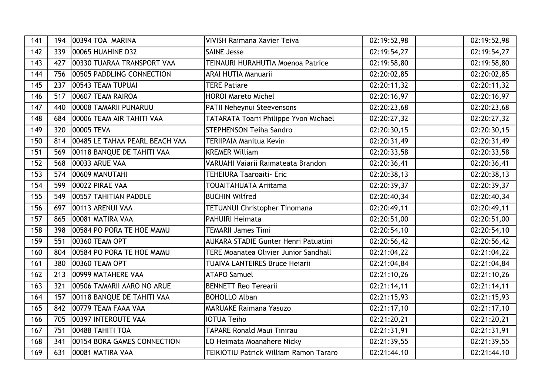| 141 | 194 | 00394 TOA MARINA               | <b>VIVISH Raimana Xavier Teiva</b>           | 02:19:52,98 | 02:19:52,98 |
|-----|-----|--------------------------------|----------------------------------------------|-------------|-------------|
| 142 | 339 | 00065 HUAHINE D32              | <b>SAINE Jesse</b>                           | 02:19:54,27 | 02:19:54,27 |
| 143 | 427 | 00330 TUARAA TRANSPORT VAA     | <b>TEINAURI HURAHUTIA Moenoa Patrice</b>     | 02:19:58,80 | 02:19:58,80 |
| 144 | 756 | 00505 PADDLING CONNECTION      | <b>ARAI HUTIA Manuarii</b>                   | 02:20:02,85 | 02:20:02,85 |
| 145 | 237 | 00543 TEAM TUPUAI              | <b>TERE Patiare</b>                          | 02:20:11,32 | 02:20:11,32 |
| 146 | 517 | 00607 TEAM RAIROA              | <b>HOROI Mareto Michel</b>                   | 02:20:16,97 | 02:20:16,97 |
| 147 | 440 | 00008 TAMARII PUNARUU          | <b>PATII Neheynui Steevensons</b>            | 02:20:23,68 | 02:20:23,68 |
| 148 | 684 | 00006 TEAM AIR TAHITI VAA      | TATARATA Toarii Philippe Yvon Michael        | 02:20:27,32 | 02:20:27,32 |
| 149 | 320 | 00005 TEVA                     | <b>STEPHENSON Teiha Sandro</b>               | 02:20:30,15 | 02:20:30,15 |
| 150 | 814 | 00485 LE TAHAA PEARL BEACH VAA | <b>TERIIPAIA Manitua Kevin</b>               | 02:20:31,49 | 02:20:31,49 |
| 151 | 569 | 00118 BANQUE DE TAHITI VAA     | <b>KREMER William</b>                        | 02:20:33,58 | 02:20:33,58 |
| 152 | 568 | 00033 ARUE VAA                 | VARUAHI Vaiarii Raimateata Brandon           | 02:20:36,41 | 02:20:36,41 |
| 153 | 574 | 00609 MANUTAHI                 | <b>TEHEIURA Taaroaiti- Eric</b>              | 02:20:38,13 | 02:20:38,13 |
| 154 | 599 | 00022 PIRAE VAA                | TOUAITAHUATA Ariitama                        | 02:20:39,37 | 02:20:39,37 |
| 155 | 549 | 00557 TAHITIAN PADDLE          | <b>BUCHIN Wilfred</b>                        | 02:20:40,34 | 02:20:40,34 |
| 156 | 697 | 00113 ARENUI VAA               | <b>TETUANUI Christopher Tinomana</b>         | 02:20:49,11 | 02:20:49,11 |
| 157 | 865 | 00081 MATIRA VAA               | <b>PAHUIRI Heimata</b>                       | 02:20:51,00 | 02:20:51,00 |
| 158 | 398 | 00584 PO PORA TE HOE MAMU      | <b>TEMARII James Timi</b>                    | 02:20:54,10 | 02:20:54,10 |
| 159 | 551 | 00360 TEAM OPT                 | <b>AUKARA STADIE Gunter Henri Patuatini</b>  | 02:20:56,42 | 02:20:56,42 |
| 160 | 804 | 00584 PO PORA TE HOE MAMU      | <b>TERE Moanatea Olivier Junior Sandhall</b> | 02:21:04,22 | 02:21:04,22 |
| 161 | 380 | 00360 TEAM OPT                 | TUAIVA LANTEIRES Bruce Heiarii               | 02:21:04,84 | 02:21:04,84 |
| 162 | 213 | 00999 MATAHERE VAA             | <b>ATAPO Samuel</b>                          | 02:21:10,26 | 02:21:10,26 |
| 163 | 321 | 00506 TAMARII AARO NO ARUE     | <b>BENNETT Reo Terearii</b>                  | 02:21:14,11 | 02:21:14,11 |
| 164 | 157 | 00118 BANQUE DE TAHITI VAA     | <b>BOHOLLO Alban</b>                         | 02:21:15,93 | 02:21:15,93 |
| 165 | 842 | 00779 TEAM FAAA VAA            | <b>MARUAKE Raimana Yasuzo</b>                | 02:21:17,10 | 02:21:17,10 |
| 166 | 705 | 00397 INTEROUTE VAA            | <b>IOTUA Teiho</b>                           | 02:21:20,21 | 02:21:20,21 |
| 167 | 751 | 00488 TAHITI TOA               | <b>TAPARE Ronald Maui Tinirau</b>            | 02:21:31,91 | 02:21:31,91 |
| 168 | 341 | 00154 BORA GAMES CONNECTION    | LO Heimata Moanahere Nicky                   | 02:21:39,55 | 02:21:39,55 |
| 169 | 631 | 00081 MATIRA VAA               | TEIKIOTIU Patrick William Ramon Tararo       | 02:21:44.10 | 02:21:44.10 |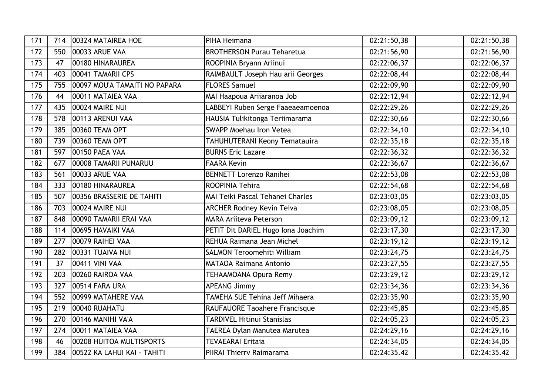| 171 | 714 | 00324 MATAIREA HOE            | PIHA Heimana                       | 02:21:50,38 | 02:21:50,38              |
|-----|-----|-------------------------------|------------------------------------|-------------|--------------------------|
| 172 | 550 | 00033 ARUE VAA                | <b>BROTHERSON Purau Teharetua</b>  | 02:21:56,90 | 02:21:56,90              |
| 173 | 47  | 00180 HINARAUREA              | ROOPINIA Bryann Ariinui            | 02:22:06,37 | 02:22:06,37              |
| 174 | 403 | 00041 TAMARII CPS             | RAIMBAULT Joseph Hau arii Georges  | 02:22:08,44 | 02:22:08,44              |
| 175 | 755 | 00097 MOU'A TAMAITI NO PAPARA | <b>FLORES Samuel</b>               | 02:22:09,90 | 02:22:09,90              |
| 176 | 44  | 00011 MATAIEA VAA             | MAI Haapoua Ariiaranoa Job         | 02:22:12,94 | 02:22:12,94              |
| 177 | 435 | 00024 MAIRE NUI               | LABBEYI Ruben Serge Faaeaeamoenoa  | 02:22:29,26 | 02:22:29,26              |
| 178 | 578 | 00113 ARENUI VAA              | HAUSIA Tulikitonga Teriimarama     | 02:22:30,66 | 02:22:30,66              |
| 179 | 385 | 00360 TEAM OPT                | <b>SWAPP Moehau Iron Vetea</b>     | 02:22:34,10 | 02:22:34,10              |
| 180 | 739 | 00360 TEAM OPT                | TAHUHUTERANI Keony Tematauira      | 02:22:35,18 | 02:22:35,18              |
| 181 | 597 | <b>00150 PAEA VAA</b>         | <b>BURNS Eric Lazare</b>           | 02:22:36,32 | 02:22:36,32              |
| 182 | 677 | 00008 TAMARII PUNARUU         | <b>FAARA Kevin</b>                 | 02:22:36,67 | 02:22:36,67              |
| 183 | 561 | 00033 ARUE VAA                | <b>BENNETT Lorenzo Ranihei</b>     | 02:22:53,08 | 02:22:53,08              |
| 184 | 333 | 00180 HINARAUREA              | <b>ROOPINIA Tehira</b>             | 02:22:54,68 | 02:22:54,68              |
| 185 | 507 | 00356 BRASSERIE DE TAHITI     | MAI Teiki Pascal Tehanei Charles   | 02:23:03,05 | 02:23:03,05              |
| 186 | 703 | 00024 MAIRE NUI               | <b>ARCHER Rodney Kevin Teiva</b>   | 02:23:08,05 | 02:23:08,05              |
| 187 | 848 | 00090 TAMARII ERAI VAA        | <b>MARA Ariiteva Peterson</b>      | 02:23:09,12 | 02:23:09,12              |
| 188 | 114 | 00695 HAVAIKI VAA             | PETIT Dit DARIEL Hugo Iona Joachim | 02:23:17,30 | 02:23:17,30              |
| 189 | 277 | 00079 RAIHEI VAA              | REHUA Raimana Jean Michel          | 02:23:19,12 | 02:23:19,12              |
| 190 | 282 | 00331 TUAIVA NUI              | <b>SALMON Teroomehiti William</b>  | 02:23:24,75 | 02:23:24,75              |
| 191 | 37  | 00411 VINI VAA                | <b>MATAOA Raimana Antonio</b>      | 02:23:27,55 | 02:23:27,55              |
| 192 | 203 | 00260 RAIROA VAA              | TEHAAMOANA Opura Remy              | 02:23:29,12 | 02:23:29,12              |
| 193 | 327 | 00514 FARA URA                | <b>APEANG Jimmy</b>                | 02:23:34,36 | $\overline{02:}23:34,36$ |
| 194 | 552 | 00999 MATAHERE VAA            | TAMEHA SUE Tehina Jeff Mihaera     | 02:23:35,90 | 02:23:35,90              |
| 195 | 219 | 00040 RUAHATU                 | RAUFAUORE Taoahere Francisque      | 02:23:45,85 | 02:23:45,85              |
| 196 | 270 | 00146 MANIHI VA'A             | <b>TARDIVEL Hitinui Stanislas</b>  | 02:24:05,23 | 02:24:05,23              |
| 197 | 274 | 00011 MATAIEA VAA             | TAEREA Dylan Manutea Marutea       | 02:24:29,16 | 02:24:29,16              |
| 198 | 46  | 00208 HUITOA MULTISPORTS      | <b>TEVAEARAI Eritaia</b>           | 02:24:34,05 | 02:24:34,05              |
| 199 | 384 | 00522 KA LAHUI KAI - TAHITI   | PIIRAI Thierry Raimarama           | 02:24:35.42 | 02:24:35.42              |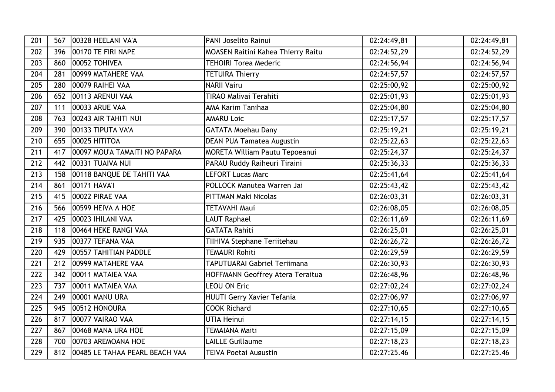| 201 | 567 | 00328 HEELANI VA'A             | <b>PANI Joselito Rainui</b>               | 02:24:49,81 | 02:24:49,81              |
|-----|-----|--------------------------------|-------------------------------------------|-------------|--------------------------|
| 202 | 396 | 00170 TE FIRI NAPE             | <b>MOASEN Raitini Kahea Thierry Raitu</b> | 02:24:52,29 | 02:24:52,29              |
| 203 | 860 | 00052 TOHIVEA                  | <b>TEHOIRI Torea Mederic</b>              | 02:24:56,94 | 02:24:56,94              |
| 204 | 281 | 00999 MATAHERE VAA             | <b>TETUIRA Thierry</b>                    | 02:24:57,57 | 02:24:57,57              |
| 205 | 280 | 00079 RAIHEI VAA               | <b>NARII Vairu</b>                        | 02:25:00,92 | 02:25:00,92              |
| 206 | 652 | 00113 ARENUI VAA               | TIRAO Malivai Terahiti                    | 02:25:01,93 | 02:25:01,93              |
| 207 | 111 | 00033 ARUE VAA                 | AMA Karim Tanihaa                         | 02:25:04,80 | 02:25:04,80              |
| 208 | 763 | 00243 AIR TAHITI NUI           | <b>AMARU Loic</b>                         | 02:25:17,57 | 02:25:17,57              |
| 209 | 390 | 00133 TIPUTA VA'A              | <b>GATATA Moehau Dany</b>                 | 02:25:19,21 | 02:25:19,21              |
| 210 | 655 | 00025 HITITOA                  | <b>DEAN PUA Tamatea Augustin</b>          | 02:25:22,63 | 02:25:22,63              |
| 211 | 417 | 00097 MOU'A TAMAITI NO PAPARA  | <b>MORETA William Pautu Tepoeanui</b>     | 02:25:24,37 | 02:25:24,37              |
| 212 | 442 | 00331 TUAIVA NUI               | PARAU Ruddy Raiheuri Tiraini              | 02:25:36,33 | 02:25:36,33              |
| 213 | 158 | 00118 BANQUE DE TAHITI VAA     | <b>LEFORT Lucas Marc</b>                  | 02:25:41,64 | 02:25:41,64              |
| 214 | 861 | 00171 HAVA'l                   | POLLOCK Manutea Warren Jai                | 02:25:43,42 | 02:25:43,42              |
| 215 | 415 | 00022 PIRAE VAA                | PITTMAN Maki Nicolas                      | 02:26:03,31 | 02:26:03,31              |
| 216 | 566 | 00599 HEIVA A HOE              | <b>TETAVAHI Maui</b>                      | 02:26:08,05 | $\overline{02:}26:08,05$ |
| 217 | 425 | 00023 IHILANI VAA              | <b>LAUT Raphael</b>                       | 02:26:11,69 | 02:26:11,69              |
| 218 | 118 | 00464 HEKE RANGI VAA           | <b>GATATA Rahiti</b>                      | 02:26:25,01 | 02:26:25,01              |
| 219 | 935 | 00377 TEFANA VAA               | TIIHIVA Stephane Teriitehau               | 02:26:26,72 | 02:26:26,72              |
| 220 | 429 | 00557 TAHITIAN PADDLE          | <b>TEMAURI Rohiti</b>                     | 02:26:29,59 | 02:26:29,59              |
| 221 | 212 | 00999 MATAHERE VAA             | <b>TAPUTUARAI Gabriel Teriimana</b>       | 02:26:30,93 | 02:26:30,93              |
| 222 | 342 | 00011 MATAIEA VAA              | HOFFMANN Geoffrey Atera Teraitua          | 02:26:48,96 | 02:26:48,96              |
| 223 | 737 | 00011 MATAIEA VAA              | <b>LEOU ON Eric</b>                       | 02:27:02,24 | 02:27:02,24              |
| 224 | 249 | 00001 MANU URA                 | HUUTI Gerry Xavier Tefania                | 02:27:06,97 | 02:27:06,97              |
| 225 | 945 | 00512 HONOURA                  | <b>COOK Richard</b>                       | 02:27:10,65 | 02:27:10,65              |
| 226 | 817 | 00077 VAIRAO VAA               | <b>UTIA Heinui</b>                        | 02:27:14,15 | 02:27:14,15              |
| 227 | 867 | 00468 MANA URA HOE             | <b>TEMAIANA Maiti</b>                     | 02:27:15,09 | 02:27:15,09              |
| 228 | 700 | 00703 AREMOANA HOE             | <b>LAILLE Guillaume</b>                   | 02:27:18,23 | 02:27:18,23              |
| 229 | 812 | 00485 LE TAHAA PEARL BEACH VAA | <b>TEIVA Poetai Augustin</b>              | 02:27:25.46 | 02:27:25.46              |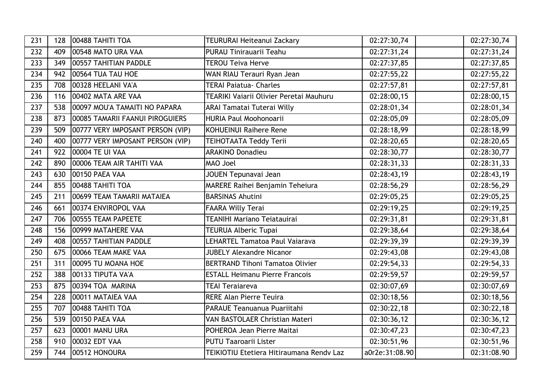| 231 | 128 | 00488 TAHITI TOA                 | <b>TEURURAI Heiteanui Zackary</b>        | 02:27:30,74    | 02:27:30,74 |
|-----|-----|----------------------------------|------------------------------------------|----------------|-------------|
| 232 | 409 | 00548 MATO URA VAA               | PURAU Tinirauarii Teahu                  | 02:27:31,24    | 02:27:31,24 |
| 233 | 349 | 00557 TAHITIAN PADDLE            | <b>TEROU Teiva Herve</b>                 | 02:27:37,85    | 02:27:37,85 |
| 234 | 942 | 00564 TUA TAU HOE                | WAN RIAU Terauri Ryan Jean               | 02:27:55,22    | 02:27:55,22 |
| 235 | 708 | 00328 HEELANI VA'A               | <b>TERAI Paiatua- Charles</b>            | 02:27:57,81    | 02:27:57,81 |
| 236 | 116 | 00402 MATA ARE VAA               | TEARIKI Vaiarii Olivier Peretai Mauhuru  | 02:28:00,15    | 02:28:00,15 |
| 237 | 538 | 00097 MOU'A TAMAITI NO PAPARA    | <b>ARAI Tamatai Tuterai Willy</b>        | 02:28:01,34    | 02:28:01,34 |
| 238 | 873 | 00085 TAMARII FAANUI PIROGUIERS  | <b>HURIA Paul Moohonoarii</b>            | 02:28:05,09    | 02:28:05,09 |
| 239 | 509 | 00777 VERY IMPOSANT PERSON (VIP) | KOHUEINUI Raihere Rene                   | 02:28:18,99    | 02:28:18,99 |
| 240 | 400 | 00777 VERY IMPOSANT PERSON (VIP) | TEIHOTAATA Teddy Terii                   | 02:28:20,65    | 02:28:20,65 |
| 241 | 922 | 00004 TE UI VAA                  | <b>ARAKINO Donadieu</b>                  | 02:28:30,77    | 02:28:30,77 |
| 242 | 890 | 00006 TEAM AIR TAHITI VAA        | MAO Joel                                 | 02:28:31,33    | 02:28:31,33 |
| 243 | 630 | 00150 PAEA VAA                   | JOUEN Tepunavai Jean                     | 02:28:43,19    | 02:28:43,19 |
| 244 | 855 | 00488 TAHITI TOA                 | <b>MARERE Raihei Benjamin Teheiura</b>   | 02:28:56,29    | 02:28:56,29 |
| 245 | 211 | 00699 TEAM TAMARII MATAIEA       | <b>BARSINAS Ahutini</b>                  | 02:29:05,25    | 02:29:05,25 |
| 246 | 661 | 00374 ENVIROPOL VAA              | <b>FAARA Willy Terai</b>                 | 02:29:19,25    | 02:29:19,25 |
| 247 | 706 | 00555 TEAM PAPEETE               | TEANIHI Mariano Teiatauirai              | 02:29:31,81    | 02:29:31,81 |
| 248 | 156 | 00999 MATAHERE VAA               | <b>TEURUA Alberic Tupai</b>              | 02:29:38,64    | 02:29:38,64 |
| 249 | 408 | 00557 TAHITIAN PADDLE            | LEHARTEL Tamatoa Paul Vaiarava           | 02:29:39,39    | 02:29:39,39 |
| 250 | 675 | 00066 TEAM MAKE VAA              | <b>JUBELY Alexandre Nicanor</b>          | 02:29:43,08    | 02:29:43,08 |
| 251 | 311 | 00095 TU MOANA HOE               | <b>BERTRAND Tihoni Tamatoa Olivier</b>   | 02:29:54,33    | 02:29:54,33 |
| 252 | 388 | 00133 TIPUTA VA'A                | <b>ESTALL Heimanu Pierre Francois</b>    | 02:29:59,57    | 02:29:59,57 |
| 253 | 875 | 00394 TOA MARINA                 | <b>TEAI Teraiareva</b>                   | 02:30:07,69    | 02:30:07,69 |
| 254 | 228 | 00011 MATAIEA VAA                | <b>RERE Alan Pierre Teuira</b>           | 02:30:18,56    | 02:30:18,56 |
| 255 | 707 | 00488 TAHITI TOA                 | PARAUE Teanuanua Puariitahi              | 02:30:22,18    | 02:30:22,18 |
| 256 | 539 | 00150 PAEA VAA                   | VAN BASTOLAER Christian Materi           | 02:30:36,12    | 02:30:36,12 |
| 257 | 623 | 00001 MANU URA                   | POHEROA Jean Pierre Maitai               | 02:30:47,23    | 02:30:47,23 |
| 258 | 910 | 00032 EDT VAA                    | <b>PUTU Taaroarii Lister</b>             | 02:30:51,96    | 02:30:51,96 |
| 259 | 744 | 00512 HONOURA                    | TEIKIOTIU Etetiera Hitiraumana Rendv Laz | a0r2e:31:08.90 | 02:31:08.90 |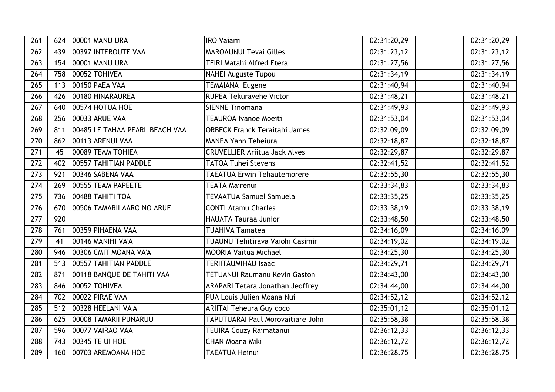| 261 | 624 | 00001 MANU URA                 | <b>IRO Vajarii</b>                      | 02:31:20,29 | 02:31:20,29 |
|-----|-----|--------------------------------|-----------------------------------------|-------------|-------------|
| 262 | 439 | 00397 INTEROUTE VAA            | <b>MAROAUNUI Tevai Gilles</b>           | 02:31:23,12 | 02:31:23,12 |
| 263 | 154 | 00001 MANU URA                 | <b>TEIRI Matahi Alfred Etera</b>        | 02:31:27,56 | 02:31:27,56 |
| 264 | 758 | 00052 TOHIVEA                  | <b>NAHEI Auguste Tupou</b>              | 02:31:34,19 | 02:31:34,19 |
| 265 | 113 | 00150 PAEA VAA                 | <b>TEMAIANA Eugene</b>                  | 02:31:40,94 | 02:31:40,94 |
| 266 | 426 | 00180 HINARAUREA               | <b>RUPEA Tekuravehe Victor</b>          | 02:31:48,21 | 02:31:48,21 |
| 267 | 640 | 00574 HOTUA HOE                | <b>SIENNE Tinomana</b>                  | 02:31:49,93 | 02:31:49,93 |
| 268 | 256 | 00033 ARUE VAA                 | <b>TEAUROA Ivanoe Moeiti</b>            | 02:31:53,04 | 02:31:53,04 |
| 269 | 811 | 00485 LE TAHAA PEARL BEACH VAA | <b>ORBECK Franck Teraitahi James</b>    | 02:32:09,09 | 02:32:09,09 |
| 270 | 862 | 00113 ARENUI VAA               | <b>MANEA Yann Teheiura</b>              | 02:32:18,87 | 02:32:18,87 |
| 271 | 45  | 00089 TEAM TOHIEA              | <b>CRUVELLIER Ariitua Jack Alves</b>    | 02:32:29,87 | 02:32:29,87 |
| 272 | 402 | 00557 TAHITIAN PADDLE          | <b>TATOA Tuhei Stevens</b>              | 02:32:41,52 | 02:32:41,52 |
| 273 | 921 | 00346 SABENA VAA               | <b>TAEATUA Erwin Tehautemorere</b>      | 02:32:55,30 | 02:32:55,30 |
| 274 | 269 | 00555 TEAM PAPEETE             | <b>TEATA Mairenui</b>                   | 02:33:34,83 | 02:33:34,83 |
| 275 | 736 | 00488 TAHITI TOA               | TEVAATUA Samuel Samuela                 | 02:33:35,25 | 02:33:35,25 |
| 276 | 670 | 00506 TAMARII AARO NO ARUE     | <b>CONTI Atamu Charles</b>              | 02:33:38,19 | 02:33:38,19 |
| 277 | 920 |                                | <b>HAUATA Tauraa Junior</b>             | 02:33:48,50 | 02:33:48,50 |
| 278 | 761 | 00359 PIHAENA VAA              | <b>TUAHIVA Tamatea</b>                  | 02:34:16,09 | 02:34:16,09 |
| 279 | 41  | 00146 MANIHI VA'A              | <b>TUAUNU Tehitirava Vaiohi Casimir</b> | 02:34:19,02 | 02:34:19,02 |
| 280 | 946 | 00306 CMIT MOANA VA'A          | <b>MOORIA Vaitua Michael</b>            | 02:34:25,30 | 02:34:25,30 |
| 281 | 513 | 00557 TAHITIAN PADDLE          | <b>TERIITAUMIHAU Isaac</b>              | 02:34:29,71 | 02:34:29,71 |
| 282 | 871 | 00118 BANQUE DE TAHITI VAA     | <b>TETUANUI Raumanu Kevin Gaston</b>    | 02:34:43,00 | 02:34:43,00 |
| 283 | 846 | 00052 TOHIVEA                  | ARAPARI Tetara Jonathan Jeoffrey        | 02:34:44,00 | 02:34:44,00 |
| 284 | 702 | 00022 PIRAE VAA                | PUA Louis Julien Moana Nui              | 02:34:52,12 | 02:34:52,12 |
| 285 | 512 | 00328 HEELANI VA'A             | <b>ARIITAI Teheura Guy coco</b>         | 02:35:01,12 | 02:35:01,12 |
| 286 | 625 | 00008 TAMARII PUNARUU          | TAPUTUARAI Paul Morovaitiare John       | 02:35:58,38 | 02:35:58,38 |
| 287 | 596 | 00077 VAIRAO VAA               | TEUIRA Couzy Raimatanui                 | 02:36:12,33 | 02:36:12,33 |
| 288 | 743 | 00345 TE UI HOE                | <b>CHAN Moana Miki</b>                  | 02:36:12,72 | 02:36:12,72 |
| 289 | 160 | 00703 AREMOANA HOE             | <b>TAEATUA Heinui</b>                   | 02:36:28.75 | 02:36:28.75 |